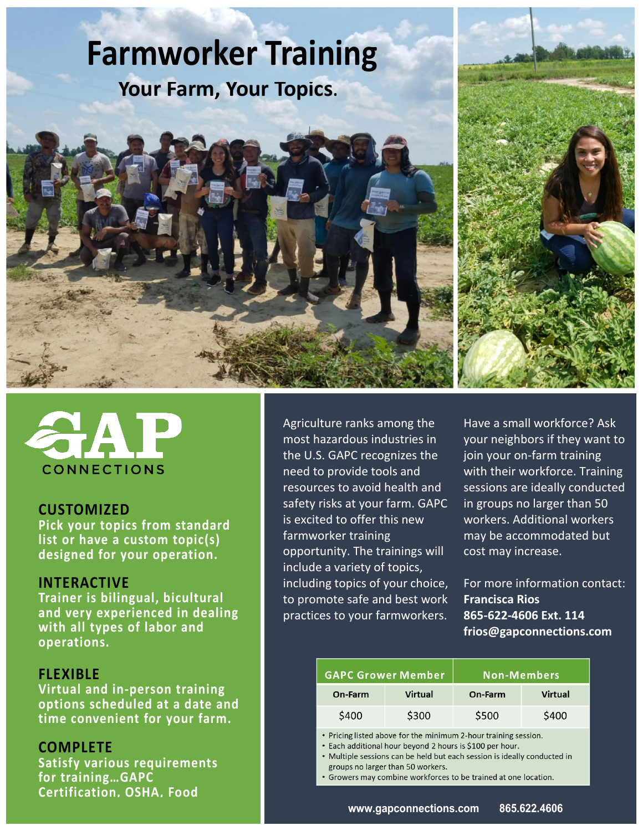# **Farmworker Training Your Farm, Your Topics.**





#### **CUSTOMIZED**

**Pick your topics from standard list or have a custom topic(s) designed for your operation.**

## **INTERACTIVE**

**Trainer is bilingual, bicultural and very experienced in dealing with all types of labor and operations.**

## **FLEXIBLE**

**Virtual and in-person training options scheduled at a date and time convenient for your farm.**

## **COMPLETE**

**Satisfy various requirements for training…GAPC Certification, OSHA, Food** 

Agriculture ranks among the most hazardous industries in the U.S. GAPC recognizes the need to provide tools and resources to avoid health and safety risks at your farm. GAPC is excited to offer this new farmworker training opportunity. The trainings will include a variety of topics, including topics of your choice, to promote safe and best work practices to your farmworkers.

Have a small workforce? Ask your neighbors if they want to join your on-farm training with their workforce. Training sessions are ideally conducted in groups no larger than 50 workers. Additional workers may be accommodated but cost may increase.

For more information contact: **Francisca Rios 865-622-4606 Ext. 114 frios@gapconnections.com**

| <b>GAPC Grower Member</b> |         | Non-Members |                |
|---------------------------|---------|-------------|----------------|
| On-Farm                   | Virtual | On-Farm     | <b>Virtual</b> |
| \$400                     | \$300   | \$500       | \$400          |

• Pricing listed above for the minimum 2-hour training session.

• Each additional hour beyond 2 hours is \$100 per hour.

• Multiple sessions can be held but each session is ideally conducted in groups no larger than 50 workers.

• Growers may combine workforces to be trained at one location.